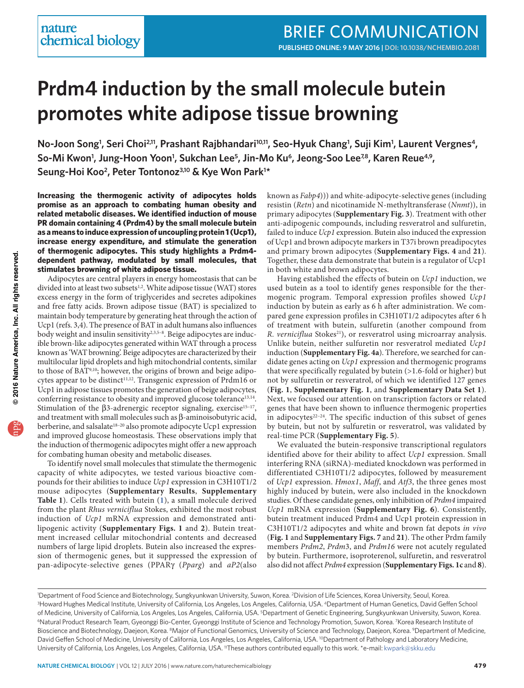# **Prdm4 induction by the small molecule butein promotes white adipose tissue browning**

**No-Joon Song1 , Seri Choi2,11, Prashant Rajbhandari10,11, Seo-Hyuk Chang1 , Suji Kim1 , Laurent Vergnes4,**  So-Mi Kwon<sup>1</sup>, Jung-Hoon Yoon<sup>1</sup>, Sukchan Lee<sup>5</sup>, Jin-Mo Ku<sup>6</sup>, Jeong-Soo Lee<sup>78</sup>, Karen Reue<sup>4,9</sup>, **Seung-Hoi Koo2, Peter Tontonoz3,10 & Kye Won Park1 \***

**Increasing the thermogenic activity of adipocytes holds promise as an approach to combating human obesity and related metabolic diseases. We identified induction of mouse PR domain containing 4 (Prdm4) by the small molecule butein as a means to induce expression of uncoupling protein 1 (Ucp1), increase energy expenditure, and stimulate the generation of thermogenic adipocytes. This study highlights a Prdm4 dependent pathway, modulated by small molecules, that stimulates browning of white adipose tissue.** 

Adipocytes are central players in energy homeostasis that can be divided into at least two subsets<sup>1,[2](#page-2-1)</sup>. White adipose tissue (WAT) stores excess energy in the form of triglycerides and secretes adipokines and free fatty acids. Brown adipose tissue (BAT) is specialized to maintain body temperature by generating heat through the action of Ucp1 (refs. [3,](#page-2-2)[4\)](#page-2-3). The presence of BAT in adult humans also influences body weight and insulin sensitivity<sup>[2,](#page-2-1)[3,](#page-2-2)[5–](#page-2-4)[8](#page-2-5)</sup>. Beige adipocytes are inducible brown-like adipocytes generated within WAT through a process known as 'WAT browning'. Beige adipocytes are characterized by their multilocular lipid droplets and high mitochondrial contents, similar to those of BA[T9,](#page-2-6)[10](#page-2-7) ; however, the origins of brown and beige adipo-cytes appear to be distinct<sup>11,[12](#page-2-9)</sup>. Transgenic expression of Prdm16 or Ucp1 in adipose tissues promotes the generation of beige adipocytes, conferring resistance to obesity and improved glucose tolerance<sup>[13,](#page-2-10)[14](#page-2-11)</sup>. Stimulation of the  $\beta$ 3-adrenergic receptor signaling, exercise<sup>15-[17](#page-2-13)</sup>, and treatment with small molecules such as β-aminoisobutyric acid, berberine, and salsalate<sup>18-[20](#page-2-15)</sup> also promote adipocyte Ucp1 expression and improved glucose homeostasis. These observations imply that the induction of thermogenic adipocytes might offer a new approach for combating human obesity and metabolic diseases.

To identify novel small molecules that stimulate the thermogenic capacity of white adipocytes, we tested various bioactive compounds for their abilities to induce *Ucp1* expression in C3H10T1/2 mouse adipocytes (**Supplementary Results**, **Supplementary Table 1**). Cells treated with butein (**[1](http://www.nature.com/nchembio/journal/v12/n7/compound/nchembio.2081_comp 1.html)**), a small molecule derived from the plant *Rhus verniciflua* Stokes, exhibited the most robust induction of *Ucp1* mRNA expression and demonstrated antilipogenic activity (**Supplementary Figs. 1** and **2**). Butein treatment increased cellular mitochondrial contents and decreased numbers of large lipid droplets. Butein also increased the expression of thermogenic genes, but it suppressed the expression of pan-adipocyte-selective genes (PPARγ (*Pparg*) and *aP2*(also

known as *Fabp4*))) and white-adipocyte-selective genes (including resistin (*Retn*) and nicotinamide N-methyltransferase (*Nnmt*)), in primary adipocytes (**Supplementary Fig. 3**). Treatment with other anti-adipogenic compounds, including resveratrol and sulfuretin, failed to induce *Ucp1* expression. Butein also induced the expression of Ucp1 and brown adipocyte markers in T37i brown preadipocytes and primary brown adipocytes (**Supplementary Figs. 4** and **21**). Together, these data demonstrate that butein is a regulator of Ucp1 in both white and brown adipocytes.

Having established the effects of butein on *Ucp1* induction, we used butein as a tool to identify genes responsible for the thermogenic program. Temporal expression profiles showed *Ucp1* induction by butein as early as 6 h after administration. We compared gene expression profiles in C3H10T1/2 adipocytes after 6 h of treatment with butein, sulfuretin (another compound from R. *verniciflua* Stokes<sup>[21](#page-2-16)</sup>), or resveratrol using microarray analysis. Unlike butein, neither sulfuretin nor resveratrol mediated *Ucp1* induction (**Supplementary Fig. 4a**). Therefore, we searched for candidate genes acting on *Ucp1* expression and thermogenic programs that were specifically regulated by butein  $(>1.6$ -fold or higher) but not by sulfuretin or resveratrol, of which we identified 127 genes (**[Fig. 1](#page-1-0)**, **Supplementary Fig. 1**, and **Supplementary Data Set 1**). Next, we focused our attention on transcription factors or related genes that have been shown to influence thermogenic properties in adipocytes $22-24$  $22-24$ . The specific induction of this subset of genes by butein, but not by sulfuretin or resveratrol, was validated by real-time PCR (**Supplementary Fig. 5**).

We evaluated the butein-responsive transcriptional regulators identified above for their ability to affect *Ucp1* expression. Small interfering RNA (siRNA)-mediated knockdown was performed in differentiated C3H10T1/2 adipocytes, followed by measurement of *Ucp1* expression. *Hmox1*, *Maff*, and *Atf3*, the three genes most highly induced by butein, were also included in the knockdown studies. Of these candidate genes, only inhibition of *Prdm4* impaired *Ucp1* mRNA expression (**Supplementary Fig. 6**). Consistently, butein treatment induced Prdm4 and Ucp1 protein expression in C3H10T1/2 adipocytes and white and brown fat depots *in vivo* (**[Fig. 1](#page-1-0)** and **Supplementary Figs. 7** and **21**). The other Prdm family members *Prdm2*, *Prdm*3, and *Prdm16* were not acutely regulated by butein. Furthermore, isoproterenol, sulfuretin, and resveratrol also did not affect *Prdm4* expression (**Supplementary Figs. 1c** and **8**).

<sup>&</sup>lt;sup>1</sup>Department of Food Science and Biotechnology, Sungkyunkwan University, Suwon, Korea. <sup>2</sup>Division of Life Sciences, Korea University, Seoul, Korea.<br><sup>3</sup>Howard Hughes Medical Institute Thiversity of California Tos Angeles <sup>3</sup>Howard Hughes Medical Institute, University of California, Los Angeles, Los Angeles, California, USA. <sup>4</sup>Department of Human Genetics, David Geffen School of Medicine, University of California, Los Angeles, Los Angeles, California, USA. 5Department of Genetic Engineering, Sungkyunkwan University, Suwon, Korea.<br><sup>6</sup>Natural Product Research Team, Gyeonggi Bio-Center, Gyeonggi I Bioscience and Biotechnology, Daejeon, Korea. <sup>8</sup>Major of Functional Genomics, University of Science and Technology, Daejeon, Korea. <sup>9</sup>Department of Medicine, David Geffen School of Medicine, University of California, Los Angeles, Los Angeles, California, USA. <sup>10</sup>Department of Pathology and Laboratory Medicine, University of California, Los Angeles, Los Angeles, California, USA. 11These authors contributed equally to this work. \*e-mail: kwpark@skku.edu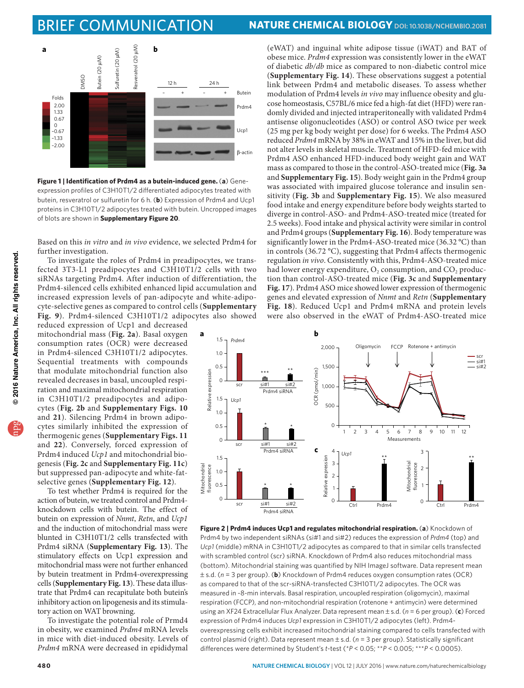## brief communication **Nature chemical biology [doi: 10.1038/nchembio.2081](http://dx.doi.org/10.1038/nchembio.2081)**



<span id="page-1-0"></span>**Figure 1 | Identification of Prdm4 as a butein-induced gene.** (**a**) Geneexpression profiles of C3H10T1/2 differentiated adipocytes treated with butein, resveratrol or sulfuretin for 6 h. (**b**) Expression of Prdm4 and Ucp1 proteins in C3H10T1/2 adipocytes treated with butein. Uncropped images of blots are shown in **Supplementary Figure 20**.

Based on this *in vitro* and *in vivo* evidence, we selected Prdm4 for further investigation.

To investigate the roles of Prdm4 in preadipocytes, we transfected 3T3-L1 preadipocytes and C3H10T1/2 cells with two siRNAs targeting Prdm4. After induction of differentiation, the Prdm4-silenced cells exhibited enhanced lipid accumulation and increased expression levels of pan-adipocyte and white-adipocyte-selective genes as compared to control cells (**Supplementary Fig. 9**). Prdm4-silenced C3H10T1/2 adipocytes also showed

reduced expression of Ucp1 and decreased mitochondrial mass (**[Fig. 2a](#page-1-1)**). Basal oxygen consumption rates (OCR) were decreased in Prdm4-silenced C3H10T1/2 adipocytes. Sequential treatments with compounds that modulate mitochondrial function also revealed decreases in basal, uncoupled respiration and maximal mitochondrial respiration in C3H10T1/2 preadipocytes and adipocytes (**[Fig. 2b](#page-1-1)** and **Supplementary Figs. 10**  and **21**). Silencing Prdm4 in brown adipocytes similarly inhibited the expression of thermogenic genes (**Supplementary Figs. 11**  and **22**). Conversely, forced expression of Prdm4 induced *Ucp1* and mitochondrial biogenesis (**[Fig. 2c](#page-1-1)** and **Supplementary Fig. 11c**) but suppressed pan-adipocyte and white-fatselective genes (**Supplementary Fig. 12**).

To test whether Prdm4 is required for the action of butein, we treated control and Prdm4 knockdown cells with butein. The effect of butein on expression of *Nnmt*, *Retn*, and *Ucp1* and the induction of mitochondrial mass were blunted in C3H10T1/2 cells transfected with Prdm4 siRNA (**Supplementary Fig. 13**). The stimulatory effects on Ucp1 expression and mitochondrial mass were not further enhanced by butein treatment in Prdm4-overexpressing cells (**Supplementary Fig. 13**). These data illustrate that Prdm4 can recapitulate both butein's inhibitory action on lipogenesis and its stimulatory action on WAT browning.

.<br>To investigate the potential role of Prmd4 in obesity, we examined *Prdm4* mRNA levels in mice with diet-induced obesity. Levels of *Prdm4* mRNA were decreased in epididymal

(eWAT) and inguinal white adipose tissue (iWAT) and BAT of obese mice. *Prdm4* expression was consistently lower in the eWAT of diabetic *db/db* mice as compared to non-diabetic control mice (**Supplementary Fig. 14**). These observations suggest a potential link between Prdm4 and metabolic diseases. To assess whether modulation of Prdm4 levels *in vivo* may influence obesity and glucose homeostasis, C57BL/6 mice fed a high-fat diet (HFD) were randomly divided and injected intraperitoneally with validated Prdm4 antisense oligonucleotides (ASO) or control ASO twice per week (25 mg per kg body weight per dose) for 6 weeks. The Prdm4 ASO reduced *Prdm4* mRNA by 38% in eWAT and 15% in the liver, but did not alter levels in skeletal muscle. Treatment of HFD-fed mice with Prdm4 ASO enhanced HFD-induced body weight gain and WAT mass as compared to those in the control-ASO-treated mice (**[Fig. 3a](#page-2-19)** and **Supplementary Fig. 15**). Body weight gain in the Prdm4 group was associated with impaired glucose tolerance and insulin sensitivity (**[Fig. 3b](#page-2-19)** and **Supplementary Fig. 15**). We also measured food intake and energy expenditure before body weights started to diverge in control-ASO- and Prdm4-ASO-treated mice (treated for 2.5 weeks). Food intake and physical activity were similar in control and Prdm4 groups (**Supplementary Fig. 16**). Body temperature was significantly lower in the Prdm4-ASO-treated mice (36.32 °C) than in controls (36.72 °C), suggesting that Prdm4 affects thermogenic regulation *in vivo*. Consistently with this, Prdm4-ASO-treated mice had lower energy expenditure, O<sub>2</sub> consumption, and CO<sub>2</sub> production than control-ASO-treated mice (**[Fig. 3c](#page-2-19)** and **Supplementary Fig. 17**). Prdm4 ASO mice showed lower expression of thermogenic genes and elevated expression of *Nnmt* and *Retn* (**Supplementary Fig. 18**). Reduced Ucp1 and Prdm4 mRNA and protein levels were also observed in the eWAT of Prdm4-ASO-treated mice



<span id="page-1-1"></span>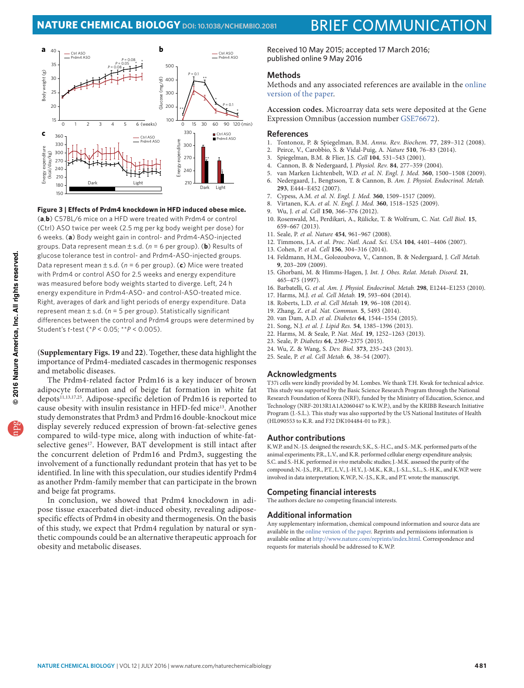

#### <span id="page-2-19"></span>**Figure 3 | Effects of Prdm4 knockdown in HFD induced obese mice.**

(**a**,**b**) C57BL/6 mice on a HFD were treated with Prdm4 or control (Ctrl) ASO twice per week (2.5 mg per kg body weight per dose) for 6 weeks. (**a**) Body weight gain in control- and Prdm4-ASO-injected groups. Data represent mean ± s.d. (*n* = 6 per group). (**b**) Results of glucose tolerance test in control- and Prdm4-ASO-injected groups. Data represent mean ± s.d. (*n* = 6 per group). (**c**) Mice were treated with Prdm4 or control ASO for 2.5 weeks and energy expenditure was measured before body weights started to diverge. Left, 24 h energy expenditure in Prdm4-ASO- and control-ASO-treated mice. Right, averages of dark and light periods of energy expenditure. Data represent mean ± s.d. (*n* = 5 per group). Statistically significant differences between the control and Prdm4 groups were determined by Student's *t*-test (\**P* < 0.05; \*\**P* < 0.005).

(**Supplementary Figs. 19** and **22**). Together, these data highlight the importance of Prdm4-mediated cascades in thermogenic responses and metabolic diseases.

The Prdm4-related factor Prdm16 is a key inducer of brown adipocyte formation and of beige fat formation in white fat depots<sup>[11,](#page-2-8)[13,](#page-2-10)[17,](#page-2-13)[25](#page-2-20)</sup>. Adipose-specific deletion of Prdm16 is reported to cause obesity with insulin resistance in HFD-fed mice<sup>[13](#page-2-10)</sup>. Another study demonstrates that Prdm3 and Prdm16 double-knockout mice display severely reduced expression of brown-fat-selective genes compared to wild-type mice, along with induction of white-fatselective genes<sup>17</sup>. However, BAT development is still intact after the concurrent deletion of Prdm16 and Prdm3, suggesting the involvement of a functionally redundant protein that has yet to be identified. In line with this speculation, our studies identify Prdm4 as another Prdm-family member that can participate in the brown and beige fat programs.

In conclusion, we showed that Prdm4 knockdown in adipose tissue exacerbated diet-induced obesity, revealing adiposespecific effects of Prdm4 in obesity and thermogenesis. On the basis of this study, we expect that Prdm4 regulation by natural or synthetic compounds could be an alternative therapeutic approach for obesity and metabolic diseases.

Received 10 May 2015; accepted 17 March 2016; published online 9 May 2016

#### **Methods**

Methods and any associated references are available in the [online](http://dx.doi.org/10.1038/nchembio.2081)  [version of the paper.](http://dx.doi.org/10.1038/nchembio.2081)

**Accession codes.** Microarray data sets were deposited at the Gene Expression Omnibus (accession number [GSE76672](http://www.ncbi.nlm.nih.gov/geo/query/acc.cgi?acc=GSE76672)).

### **References**<br>1 Tontonoz **F**

- <span id="page-2-0"></span>1. Tontonoz, P. & Spiegelman, B.M. *Annu. Rev. Biochem.* **77**, 289–312 (2008).
- <span id="page-2-1"></span>2. Peirce, V., Carobbio, S. & Vidal-Puig, A. *Nature* **510**, 76–83 (2014).
- <span id="page-2-2"></span>3. Spiegelman, B.M. & Flier, J.S. *Cell* **104**, 531–543 (2001).
- <span id="page-2-3"></span>4. Cannon, B. & Nedergaard, J. *Physiol. Rev.* **84**, 277–359 (2004).
- <span id="page-2-4"></span>5. van Marken Lichtenbelt, W.D. *et al. N. Engl. J. Med.* **360**, 1500–1508 (2009).
- 6. Nedergaard, J., Bengtsson, T. & Cannon, B. *Am. J. Physiol. Endocrinol. Metab.* **293**, E444–E452 (2007).
- 7. Cypess, A.M. *et al. N. Engl. J. Med.* **360**, 1509–1517 (2009).
- <span id="page-2-5"></span>8. Virtanen, K.A. *et al. N. Engl. J. Med.* **360**, 1518–1525 (2009).
- <span id="page-2-6"></span>9. Wu, J. *et al. Cell* **150**, 366–376 (2012).
- <span id="page-2-7"></span>10. Rosenwald, M., Perdikari, A., Rülicke, T. & Wolfrum, C. *Nat. Cell Biol.* **15**, 659–667 (2013).
- <span id="page-2-8"></span>11. Seale, P. *et al. Nature* **454**, 961–967 (2008).
- <span id="page-2-9"></span>12. Timmons, J.A. *et al. Proc. Natl. Acad. Sci. USA* **104**, 4401–4406 (2007).
- <span id="page-2-10"></span>13. Cohen, P. *et al. Cell* **156**, 304–316 (2014).
- <span id="page-2-11"></span>14. Feldmann, H.M., Golozoubova, V., Cannon, B. & Nedergaard, J. *Cell Metab.* **9**, 203–209 (2009).
- <span id="page-2-12"></span>15. Ghorbani, M. & Himms-Hagen, J. *Int. J. Obes. Relat. Metab. Disord.* **21**, 465–475 (1997).
- 16. Barbatelli, G. *et al. Am. J. Physiol. Endocrinol. Metab.* **298**, E1244–E1253 (2010).
- <span id="page-2-13"></span>17. Harms, M.J. *et al. Cell Metab.* **19**, 593–604 (2014).
- <span id="page-2-14"></span>18. Roberts, L.D. *et al. Cell Metab.* **19**, 96–108 (2014).
- 19. Zhang, Z. *et al. Nat. Commun.* **5**, 5493 (2014).
- <span id="page-2-15"></span>20. van Dam, A.D. *et al. Diabetes* **64**, 1544–1554 (2015).
- <span id="page-2-16"></span>21. Song, N.J. *et al. J. Lipid Res.* **54**, 1385–1396 (2013).
- <span id="page-2-17"></span>22. Harms, M. & Seale, P. *Nat. Med.* **19**, 1252–1263 (2013).
- 23. Seale, P. *Diabetes* **64**, 2369–2375 (2015).
- <span id="page-2-18"></span>24. Wu, Z. & Wang, S. *Dev. Biol.* **373**, 235–243 (2013).
- <span id="page-2-20"></span>25. Seale, P. *et al. Cell Metab.* **6**, 38–54 (2007).

#### **Acknowledgments**

T37i cells were kindly provided by M. Lombes. We thank T.H. Kwak for technical advice. This study was supported by the Basic Science Research Program through the National Research Foundation of Korea (NRF), funded by the Ministry of Education, Science, and Technology (NRF-2013R1A1A2060447 to K.W.P.), and by the KRIBB Research Initiative Program (J.-S.L.). This study was also supported by the US National Institutes of Health (HL090553 to K.R. and F32 DK104484-01 to P.R.).

#### **Author contributions**

K.W.P. and N.-J.S. designed the research; S.K., S.-H.C., and S.-M.K. performed parts of the animal experiments; P.R., L.V., and K.R. performed cellular energy expenditure analysis; S.C. and S.-H.K. performed *in vivo* metabolic studies; J.-M.K. assessed the purity of the compound; N.-J.S., P.R., P.T., L.V., J.-H.Y., J.-M.K., K.R., J.-S.L., S.L., S.-H.K., and K.W.P. were involved in data interpretation; K.W.P., N.-J.S., K.R., and P.T. wrote the manuscript.

#### **Competing financial interests**

The authors declare no competing financial interests.

#### **Additional information**

Any supplementary information, chemical compound information and source data are available in the [online version of the paper.](http://dx.doi.org/10.1038/nchembio.2081) Reprints and permissions information is available online at [http://www.nature.com/reprints/index.html.](http://www.nature.com/reprints/index.html) Correspondence and requests for materials should be addressed to K.W.P.